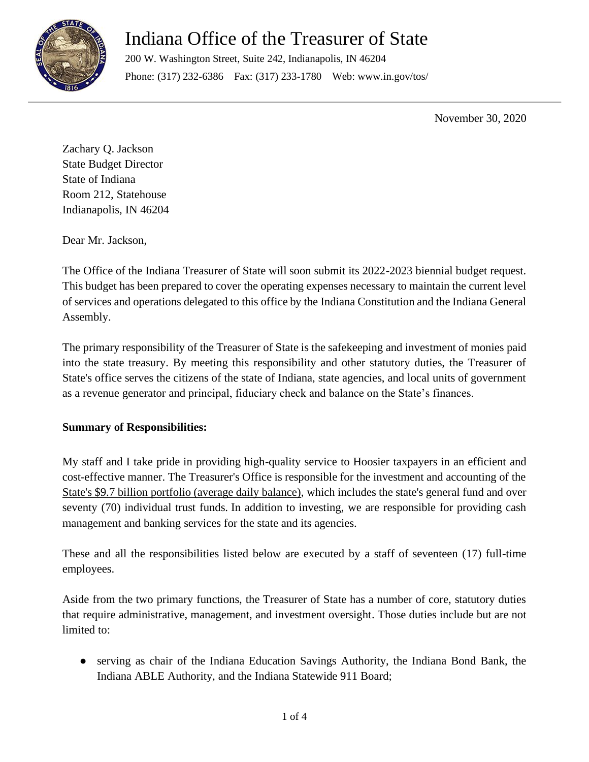

# Indiana Office of the Treasurer of State

200 W. Washington Street, Suite 242, Indianapolis, IN 46204 Phone: (317) 232-6386 Fax: (317) 233-1780 Web: www.in.gov/tos/

November 30, 2020

Zachary Q. Jackson State Budget Director State of Indiana Room 212, Statehouse Indianapolis, IN 46204

Dear Mr. Jackson,

The Office of the Indiana Treasurer of State will soon submit its 2022-2023 biennial budget request. This budget has been prepared to cover the operating expenses necessary to maintain the current level of services and operations delegated to this office by the Indiana Constitution and the Indiana General Assembly.

The primary responsibility of the Treasurer of State is the safekeeping and investment of monies paid into the state treasury. By meeting this responsibility and other statutory duties, the Treasurer of State's office serves the citizens of the state of Indiana, state agencies, and local units of government as a revenue generator and principal, fiduciary check and balance on the State's finances.

### **Summary of Responsibilities:**

My staff and I take pride in providing high-quality service to Hoosier taxpayers in an efficient and cost-effective manner. The Treasurer's Office is responsible for the investment and accounting of the State's \$9.7 billion portfolio (average daily balance), which includes the state's general fund and over seventy (70) individual trust funds. In addition to investing, we are responsible for providing cash management and banking services for the state and its agencies.

These and all the responsibilities listed below are executed by a staff of seventeen (17) full-time employees.

Aside from the two primary functions, the Treasurer of State has a number of core, statutory duties that require administrative, management, and investment oversight. Those duties include but are not limited to:

● serving as chair of the Indiana Education Savings Authority, the Indiana Bond Bank, the Indiana ABLE Authority, and the Indiana Statewide 911 Board;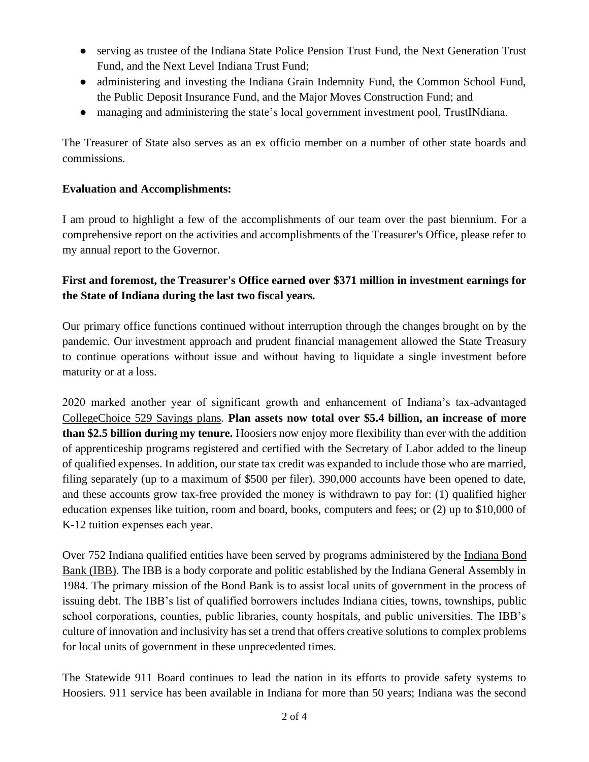- serving as trustee of the Indiana State Police Pension Trust Fund, the Next Generation Trust Fund, and the Next Level Indiana Trust Fund;
- administering and investing the Indiana Grain Indemnity Fund, the Common School Fund, the Public Deposit Insurance Fund, and the Major Moves Construction Fund; and
- managing and administering the state's local government investment pool, TrustINdiana.

The Treasurer of State also serves as an ex officio member on a number of other state boards and commissions.

#### **Evaluation and Accomplishments:**

I am proud to highlight a few of the accomplishments of our team over the past biennium. For a comprehensive report on the activities and accomplishments of the Treasurer's Office, please refer to my annual report to the Governor.

## **First and foremost, the Treasurer's Office earned over \$371 million in investment earnings for the State of Indiana during the last two fiscal years.**

Our primary office functions continued without interruption through the changes brought on by the pandemic. Our investment approach and prudent financial management allowed the State Treasury to continue operations without issue and without having to liquidate a single investment before maturity or at a loss.

2020 marked another year of significant growth and enhancement of Indiana's tax-advantaged CollegeChoice 529 Savings plans. **Plan assets now total over \$5.4 billion, an increase of more than \$2.5 billion during my tenure.** Hoosiers now enjoy more flexibility than ever with the addition of apprenticeship programs registered and certified with the Secretary of Labor added to the lineup of qualified expenses. In addition, our state tax credit was expanded to include those who are married, filing separately (up to a maximum of \$500 per filer). 390,000 accounts have been opened to date, and these accounts grow tax-free provided the money is withdrawn to pay for: (1) qualified higher education expenses like tuition, room and board, books, computers and fees; or (2) up to \$10,000 of K-12 tuition expenses each year.

Over 752 Indiana qualified entities have been served by programs administered by the Indiana Bond Bank (IBB). The IBB is a body corporate and politic established by the Indiana General Assembly in 1984. The primary mission of the Bond Bank is to assist local units of government in the process of issuing debt. The IBB's list of qualified borrowers includes Indiana cities, towns, townships, public school corporations, counties, public libraries, county hospitals, and public universities. The IBB's culture of innovation and inclusivity has set a trend that offers creative solutions to complex problems for local units of government in these unprecedented times.

The Statewide 911 Board continues to lead the nation in its efforts to provide safety systems to Hoosiers. 911 service has been available in Indiana for more than 50 years; Indiana was the second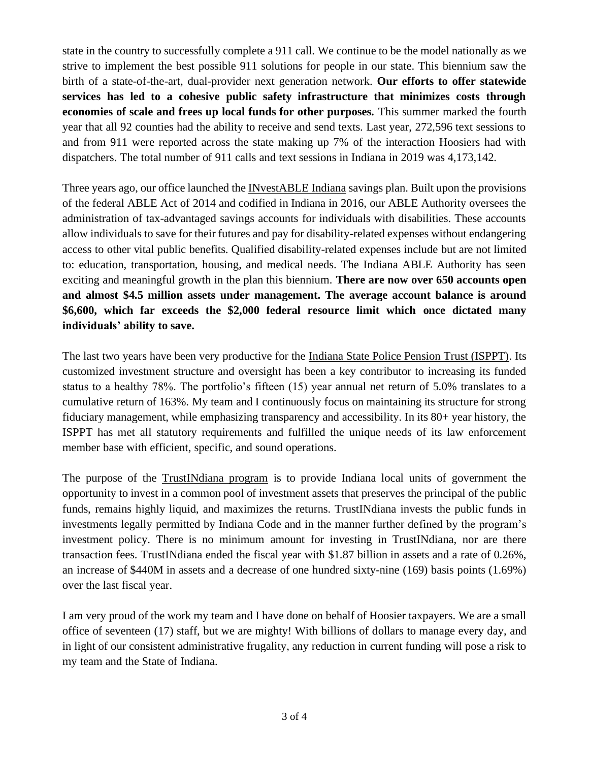state in the country to successfully complete a 911 call. We continue to be the model nationally as we strive to implement the best possible 911 solutions for people in our state. This biennium saw the birth of a state-of-the-art, dual-provider next generation network. **Our efforts to offer statewide services has led to a cohesive public safety infrastructure that minimizes costs through economies of scale and frees up local funds for other purposes.** This summer marked the fourth year that all 92 counties had the ability to receive and send texts. Last year, 272,596 text sessions to and from 911 were reported across the state making up 7% of the interaction Hoosiers had with dispatchers. The total number of 911 calls and text sessions in Indiana in 2019 was 4,173,142.

Three years ago, our office launched the INvestABLE Indiana savings plan. Built upon the provisions of the federal ABLE Act of 2014 and codified in Indiana in 2016, our ABLE Authority oversees the administration of tax-advantaged savings accounts for individuals with disabilities. These accounts allow individuals to save for their futures and pay for disability-related expenses without endangering access to other vital public benefits. Qualified disability-related expenses include but are not limited to: education, transportation, housing, and medical needs. The Indiana ABLE Authority has seen exciting and meaningful growth in the plan this biennium. **There are now over 650 accounts open and almost \$4.5 million assets under management. The average account balance is around \$6,600, which far exceeds the \$2,000 federal resource limit which once dictated many individuals' ability to save.**

The last two years have been very productive for the Indiana State Police Pension Trust (ISPPT). Its customized investment structure and oversight has been a key contributor to increasing its funded status to a healthy 78%. The portfolio's fifteen (15) year annual net return of 5.0% translates to a cumulative return of 163%. My team and I continuously focus on maintaining its structure for strong fiduciary management, while emphasizing transparency and accessibility. In its 80+ year history, the ISPPT has met all statutory requirements and fulfilled the unique needs of its law enforcement member base with efficient, specific, and sound operations.

The purpose of the TrustINdiana program is to provide Indiana local units of government the opportunity to invest in a common pool of investment assets that preserves the principal of the public funds, remains highly liquid, and maximizes the returns. TrustINdiana invests the public funds in investments legally permitted by Indiana Code and in the manner further defined by the program's investment policy. There is no minimum amount for investing in TrustINdiana, nor are there transaction fees. TrustINdiana ended the fiscal year with \$1.87 billion in assets and a rate of 0.26%, an increase of \$440M in assets and a decrease of one hundred sixty-nine (169) basis points (1.69%) over the last fiscal year.

I am very proud of the work my team and I have done on behalf of Hoosier taxpayers. We are a small office of seventeen (17) staff, but we are mighty! With billions of dollars to manage every day, and in light of our consistent administrative frugality, any reduction in current funding will pose a risk to my team and the State of Indiana.